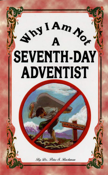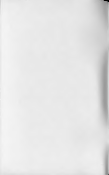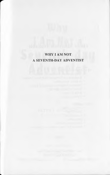### **WHY I AM NOT A SEVENTH-DAY ADVENTIST**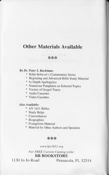#### **Other Materials Available**

#### \*\*\*

#### *By Dr. Peter S. Ruckman:*

- **\* Bible Believer's Commentary Series**
- **\* Beginning and Advanced Bible Study Material**
- **\* In-Depth Apologetics**
- **\* Numerous Pamphlets on Selected Topics**
- **\* Variety of Gospel Tracts**
- **\* Audio Cassettes**
- **\* Video Cassettes**

#### *Also Available:*

- **\* AV 1611 Bibles**
- **\* Study Helps**
- **\* Concordances**
- **\* Biographies**
- **\* Evangelism Material**
- **\* Material by Other Authors and Speakers**

\*\*\*

#### *[www.kjvl611.org](http://www.kjvl611.org)*

*For FREE Current Catalog write:*

#### **BB BOOKSTORE**

1130 Jo Jo Road Pensacola, FL 32514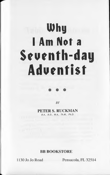# Why I Am Not a Seventh-day Adventist

*BY*

**PETER S. RUCKMAN** *B.A., B.D., M.A., Th.M., Ph.D.*

#### **BB BOOKSTORE**

1130 Jo Jo Road Pensacola, FL 32514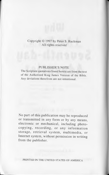#### **Copyright © 1997 by Peter S. Ruckman All rights reserved**

#### **PUBLISHER'S NOTE**

**The Scripture quotations found herein are from the text** of the Authorized King James Version of the Bible. **Any deviations therefrom are not intentional.**

No part of this publication may be reproduced or transmitted in any form or by any means, electronic or mechanical, including photocopying, recording, or any information storage, retrieval system, multimedia, or Internet system, without permission in writing **from the publisher.**

PRINTED IN THE UNITED STATES OF AMERICA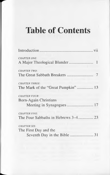# **Table of Contents**

| <b>CHAPTER ONE:</b>                                                               |
|-----------------------------------------------------------------------------------|
| <b>CHAPTER TWO:</b>                                                               |
| <b>CHAPTER THREE:</b><br>The Mark of the "Great Pumpkin"  13                      |
| <b>CHAPTER FOUR:</b><br><b>Born-Again Christians</b><br>Meeting in Synagogues  17 |
| <b>CHAPTER FIVE:</b><br>The Four Sabbaths in Hebrews 3–4 23                       |
| <b>CHAPTER SIX:</b><br>The First Day and the                                      |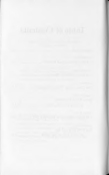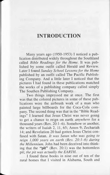#### <span id="page-8-0"></span>**INTRODUCTION**

Many years ago (1950-1953) I noticed a publication distributed widely throughout the Southland called *Bible Readings for the Home*. It was published by some outfit called Herald and Review. Later I found *Sunday School Lessons for the Home* published by an outfit called The Pacific Publishing Company. And a little later I noticed that the pictures I had found in these publications matched the works of a publishing company called simply The Southen Publishing Company.

Two things impressed me at once. The first was that the colored pictures in some of these publications were the airbrush work of a man who painted large billboards for the Coca-Cola company. The second thing was that in the "Bible Readings" I learned that Jesus Christ was never going to get a chance to reign on earth *anywhere* for a thousand years (Rev. 20:1-6). Somehow or another, the writers of Isaiah 2, 11, 65; Amos 9; Zechariah 14; and Revelation 20 had gotten Jesus Christ confused with Satan. *It was Satan who was going to reign 1,000 years on earth (Rev. 20:1-6) during the Millennium.* John had been deceived into thinking that the **"pit"** (Rev. 20:1) was the bottomless pit; *the pit was actually the EARTH.*

I found these books in nine out of ten of the rural homes that I visited in Alabama, South and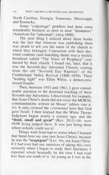North Carolina, Georgia, Tennessee, Mississippi, and Kentucky.

Some "colportage" peddlers had done some remarkable business as door to door "drummers" (American for "salesman": circa 1880).

The next thing I noticed about these books was the fact that whoever was publishing them was afraid to tell you the name of the church to which they belonged. Concurrent with their doctrinal contents (and matching them) was a weekly broadcast called "The Voice of Prophecy" conducted by their church. I found out, later, that it was the Seventh-day Adventist Church, coming from the old "Seventh Day Baptists" of the Cumberland Valley Revival (1800-1850). Their leading light" was Ellen White, a demon-possessed female.

Then, between 1953 and 1963, I gave considerable attention to the doctrinal teaching of these Seventh-day Adventists. I discovered, for example, that Jesus Christ's death did not cover the MORAL commandments written on Moses' tablets (see p. ix). It only covered the *ceremonial* laws that God gave Israel. I then learned that the White Throne Judgment began nearly a century ago, and the **"dead, small and great"** (Rev. 20:11-14) *were NOW being judged there.* It was just being done where nobody could see it!

Things went from bad to worse when I learned that Satan bore my sins (not Jesus Christ), because he was the **"scapegoat"** (Lev. 16), not Jesus Christ. If I had ever had any intention of taking this crew seriously when I began to study their literature, I repented whole heartedly by the time I had read less than one-tenth of it. As young as I was in the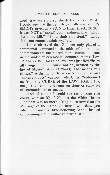Lord (five years old spiritually by the year 1954), I could see that the Jewish Sabbath was a CER-EMONY given as a SIGN to Israel (Ezek. 20:20). It was NOT a "moral" commandment like **"Thou shalt not kill," "Thou shalt not steal," "Thou shalt not commit adultery,"** etc.

I also observed that God not only placed a ceremonial command in the midst of some moral commandments but placed moral commandments in the midst of ceremonial commandments (Lev. 19:29-32). Paul said a believer was justified **"from all things"** that he **"could not be justified by the law of Moses"** (Acts 13:39-40). That means **"all things."** A distinction between "ceremonies" and "moral conduct" was not made. Christ **"redeemed us from the CURSE of the LAW"** (Gal. 3:13), not just ten commandments on stone or some set of ceremonial observances.

And of course I could see (as anyone else could, with an IQ of 70) that the White Throne Judgment was no more taking place now than the Marriage of the Lamb. So here I will show you why I remained a Bible-believing Baptist instead of becoming a "Seventh-day Adventist."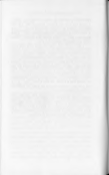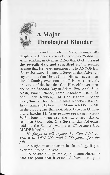<span id="page-12-0"></span>

# **A Major Theological Blunder**

I often wondered why nobody, through fifty chapters in Genesis, ever observed any "Sabbath." After reading in Genesis 2:2-3 that God **"blessed the seventh day, and sanctified it,"** it seemed strange that He never mentioned it to ANYONE *in the entire book.* I heard a Seventh-day Adventist say one time that "Jesus Christ Himself never mentioned Sunday even one time." He was perfectly oblivious of the fact that God Himself never mentioned the *Sabbath Day* to Adam, Eve, Abel, Seth, Noah, Enoch, Nahor, Terah, Abraham, Isaac, Jacob, Judah, Reuben, Gad, Dan, Naphtali, Asher, Levi, Simeon, Joseph, Benjamin, Rebekah, Rachel, Esau, Ishmael, Ephraim, or Manneseh ONE TIME in the 2,500 years that took place between Genesis 3 and Exodus 11. None of them observed the Sab*bath.* None of them kept the "sanctified" day of rest that God made. One Seventh-day Adventist told me the Sabbath was "eternal" because God MADE it before the fall.

*He forgot to tell anyone that God didn't reveal it to ANYBODY until 2,500 years after the fall.*

A slight miscalculation in chronology if you ever ran into one, buster.

To bolster his ignorance, this same character said the proof that it extended from eternity to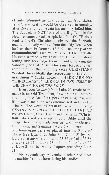eternity *(although no one fooled with it for 2,500 years!)* was that it would be observed in eternity, after Revelation 20. Again his memory failed him. The Sabbath is NOT "one of the Big Ten" in the New Testament Pauline epistles. Not ONCE does Paul tell ANY Christian to observe the Sabbath, and he purposely *omits it* from the "Big Ten" when he lists them in Romans 13:8-9. The **"any other commandment"** (see vs. 9) is NOT the Sabbath. He even warned New Testament Christians about letting Judaizers judge them for not observing the Sabbath (see Col. 2:16). This same forgetful character told me that after the cross CHRISTIANS **"rested the sabbath day according to the com**mandment" (Luke 23:56). THERE ARE NO "CHRISTIANS" IN LUKE 23 IN *ONE VERSE* IN THE CHAPTER *OR THE BOOK.*

Every *Jewish disciple* in Luke 23 (male or female) is an Old Testament, Law-abiding, Templeattending (see Acts 3:1), pork-abstaining Jew, and if he was a male, he was circumcised and sported a beard. The word **"Christian"** is a reference to *GENTILE DISCIPLES* OUTSIDE THE LAND OF PALESTINE (Acts 11:26), and the term "Chris**tian"** does not show up in your Bible until the Gospel has gone outside *Jewish territory* (Jerusalem, Judea, and Samaria— Acts 1:8). There is not one born-again believer placed into the Body of Christ (see Eph.  $1-2$ ; John 3; 1 Cor. 12) by the Holy Spirit anywhere in Luke 23:56 or Luke 23:55 or Luke 23:54 or Luke 23 or Luke 24 or Luke 22 or Luke 21 or the twenty chapters preceding Luke 21.

My Seventh-day Adventist teacher had "lost his marbles" somewhere during his studies.

 $\mathcal{D}$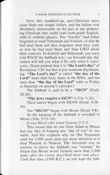Now, this muddled-up, anti-Christian mess came from one simple failure, and the failure was absolutely inexcusable on the part of any professing Christian who could read sixth-grade English, with or without glasses. The "teacher" had either forgotten to read Nehemiah and Ezekiel, or else he had read them and then forgotten what they *said,* or else he had read them and then LIED about their *contents.* In Ezekiel and Nehemiah, you were told WHAT the Sabbath was—no Seventh-day Adventist will tell you what it IS, only what it *represents.* (Some pretend that it is **"the Lord's day"** of Revelation 1:10, but that is just someone daydreaming. **"The Lord's day"** is called **"the day of the** Lord" more than forty times in the Bible, and not once does **"the day of the Lord"** refer to Friday or Saturday on anyone's calendar.)

The Sabbath is said to be a **"SIGN"** (Ezek. 20:20).

**"The Jews require a SIGN"** (1 Cor. 1:22).

Their nation began with SIGNS (Exod. 4:28- 30).

The **"SIGNS"** began with Moses (Exod. 4:8).

So the keeping of the Sabbath is revealed to Moses (Neh. 9:13-14).

*It was Moses who wrote Genesis 2:2-3.*

This means that no one from Adam to Moses had any idea of keeping any "day of rest" in *any* week. And this explains why no Old Testament saint for 2,500 years paid any more attention to it than Pharaoh or Nimrod. The Adventist was so anxious to prove the Sabbath was "eternal," he forgot that Moses wrote Genesis more than 2,500 years *after the events described there took place.* Until that time (1500 B.C.), no one kept the Sab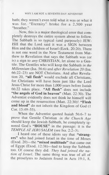bath; they weren't even told what it was or what it was for. "Eternity" broke for a 2,500 year "breather."

Now, this is a major theological error that completely destroys the entire system about to follow. The Sabbath is so typical (and purposely) JEW-ISH that the Lord said it was a SIGN between Him and the children of Israel (Ezek. 20:20). There is not one word in the New Testament from Matthew to Revelation that says the Sabbath was (or is) a sign to *any* CHRISTIAN, let alone to a Gentile. The Gentiles who will keep the Sabbath *in the Millennium* (Isa. 56:6) and *after Revelation 20* (Isa. 66:22-23) are NOT Christians. And after Revelation 20, **"all flesh"** would exclude all Christians, for Christians will have been just like the Lord Jesus Christ for more than 1,000 years before Isaiah 66:22 takes place. **"All flesh"** does not include "the angels of God in heaven" (Matt. 22:30). The Adventist evidently does not think he himself will come up in the resurrection (Matt. 22:30)! **"Flesh** and blood" do not inherit the Kingdom of God (1) Cor. 15:49-55).

When the Adventist quoted Isaiah 56:6-7 to prove that Gentile Christian *in the Church Age* should keep the Jewish Sabbath, he completely ignored God's **"HOUSE"** in the passage: it is the *TEMPLE AT JERUSALEM* (see Isa. 2:2-3).

I heard one of these idiots say that **"strangers"** who had joined Israel in the time of Moses (Exod. 20)—the **"mixed multitude"** that came out of Egypt (Exod. 12:38)—had to keep the Sabbath too. Of course they did. *They had joined the na*tion of Israel. The same thing was true of all of the proselytes to Judaism found in Acts 19:1, 8,

 $\overline{4}$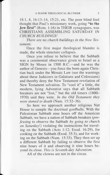18:1, 4, 16:13-14, 15:21, etc. The poor blind fool thought that Paul's missionary work, going **"to the Jew first"** (Rom. 1:16) in THEIR synagogues, was CHRISTIANS ASSEMBLING SATURDAY IN *CHURCH BUILDINGS!*

*There are no church buildings in the New Testament.*

Once the first major theological blunder is made, the whole structure collapses.

Once you refuse to believe that the Sabbath was a ceremonial observance given to Israel as a SIGN by Moses in 1500 B.C.— and he was the author of Genesis— you force the born-again Christian back under the Mosaic Law (see the warnings about these Judaizers in Galatians and Colossians) and thereby deny the New Testament revelation of New Testament salvation. To "cool it" a little, the modern, lying Adventist says that all Sabbath breakers are not "lost," but the old timers (1800- 1970) said they were. *In the Old Testament they were stoned to death* (Num. 15:32-36).

So here we approach another religious Nut House to sample the doctrinal goofballs. With the Palestinian Sabbath nine hours off the American Sabbath, we have a nation of Sabbath breakers *{professing* to observe the Sabbath *by going to church on Saturday!)* violating the instructions for traveling on the Sabbath (Acts 1:12; Exod. 16:29), for cooking on the Sabbath (Exod. 35:3), and for working on the Sabbath (Num. 15:33). They then set up a different Sabbath by failing to observe the first nine hours of it and observing it nine hours beyond its close. *This is Seventh-day Adventism.*

All of the clowns are not in the circus.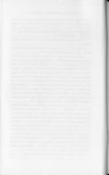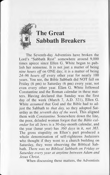

# **The Great Sabbath Breakers**

The Seventh-day Adventists have broken the Lord's "Sabbath Rest" somewhere around 9,000 times apiece since Ellen G. White began to publish her nonsense. It is not just a matter of being *nine hours off* on ONE day; it is a matter of being 24-96 hours off every other year for nearly 100 years. You see, the Bible Sabbath did NOT fall on Friday (6 pm) to Saturday (6 pm) every year, not even every other year. Ellen G. White followed Constantine and the Roman calendar in these matters. Having declared that Sunday was the first day of the week (March 7, A.D. 321), Ellen G. White *assumed* that God and the Bible had to adjust the Sabbath to *that day*, so they adopted Saturday as the *seventh day of the week*. This aligned them with *Constantine.* Somewhere down the line, the poor, deluded woman forgot that the *Bible calendar* for all Jews is a 30-day-month calendar, and the year (lunar year) has *360 days* in it, *not 365.* The gross stupidity on Ellen's part produced a whole denomination of self-righteous Judaizers who thought if they went to a church building on Saturday, they were observing the Biblical Sabbath. *There was no Biblical Sabbath on Friday or Saturday every year at anytime between Adam and Jesus Christ.*

When discussing these matters, the Adventists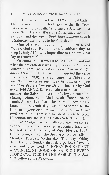write, "Can we know WHAT DAY is the Sabbath?" The "answer" the poor fools give is that the "seventh day is the Sabbath," and since a Jew says that day is Saturday and *Webster's Dictionary* says it is Saturday and the *World Book Encyclopedia* says it is Saturday, then it has to be Saturday.

One of these prevaricating con men asked "Would God say **'Remember the sabbath day, to keep it holy,'** if it was impossible to find out what day to remember?"

Of course not. It would be possible to find out what the seventh day was *if you were an Old Testament Jew who received this revelation at Mt. Sinai in 1500 B.C.* That is where he quoted the verse from (Exod. 20:8). *The con man just didn't give* you the location of the verse he quoted so you *would be deceived by the Devil.* That is why God never told ANYONE from Adam to Moses to "remember the Sabbath." Not one being on earth, including Adam, Seth, Abel, Noah, Enoch, Nahor, Terah, Abram, Lot, Isaac, Jacob, et al., could have known the seventh day was a "Sabbath" to the Lord or anyone else. *It wasn't revealed to Israel until Mt. Sinai.* That is why all Adventists avoid Nehemiah like the Black Death (Neh. 9:13-14).

"No change has ever affected the weekly sequence" (quotation from an Adventist tract distributed at the University of West Florida, 1997). Guess again, stupid. The *Jewish Passover* falls on Monday, Tuesday, Wednesday, Thursday, Friday, Saturday, and Sunday through a period of twenty years and is so listed IN EVERY POCKET SIZE APPOINTMENT BOOK ON SALE ON EVERY STORE COUNTER IN THE WORLD. The *Sabbath* followed the *Passover.*

 $\mathbf{R}$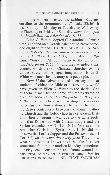If the women **"rested the sabbath day according to the commandment"** (Luke 23:56), it was Sunday or Monday or Tuesday or Wednesday or Thursday or Friday or Saturday, *depending upon the Jewish Biblical calendar of A.D. 33.* 

Ellen G. White adopted Constantine's Gentile time, as found on a Gentile calendar, to prove someone ought to attend CHURCH SERVICES on Saturday. *Nobody attended church services on Saturday in Matthew, Mark, Luke, John, Acts, or Romans-Philemon.* All Jews went to the temple *and NOT on the Sabbath*—and they attended synagogues, which are *not* Christian churches by the wildest stretch of the pagan imagination. Ellen G. White was nuts. Just as nutty as a pecan pie.

Now, if the Adventists had been any kind of students of either the Bible or history, they would have given up Ellen G. White to the sharks. One of them (a man by the name of Froom) wrote an excellent book called *The Prophetic Faith of our Fathers,* but somehow, while writing this very detailed history (four volumes), he failed to notice the Easter controversy between the Roman Catholic Church and the Celtic churches of ancient Britain. Their antagonism was due to the same problem that Rome had with Constantinople and the Syrian churches (A.D. 190-202). You see, the Antiochan Christians (Syria—Acts 11:26) did not observe the Lord's Supper and the Passover (see 1 Cor. 5:7) *on the same day every year.* They know what no Adventist knows now: that the Passover sometimes fell on our modern Monday, sometimes Tuesday, etc. Constantine and Rome wanted the date *fixed,* so they set up two permanent *lies* for Christians to believe: ONE, THAT *SATURDAY*

 $\overline{Q}$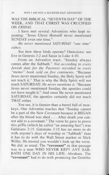WAS THE BIBLICAL "SEVENTH DAY" OF THE WEEK, AND THAT CHRIST WAS CRUCIFIED ON *FRIDAY.*

I have met several Adventists who kept repeating: "Jesus Christ Himself never mentioned SUNDAY even one time."

*He never mentioned SATURDAY "one time" either.*

See how these birds operate? Omissions: see Eve in Genesis 3:2 and Satan in Luke 4:10.

From an Adventist tract: "Sunday always comes after the Sabbath." *Not according to every Jewish date for the Passover recorded in every* "memo" book sold on five continents. "Because Jesus never mentioned Sunday, the Holy Spirit will not teach it." That is why the Holy Spirit will not teach SATURDAY: *He never mentions it.* "Because Jesus never mentioned Sunday, the apostles could not have taught it." And since He never mentioned SATURDAY, the apostles certainly did not teach THAT either.

You see, it is funnier than a barrel full of monkeys. One Adventist teaches that "Sunday cannot be a part of the New Covenant because it BEGAN after the blood was shed . . . After death you cannot add to a covenant." The verse he gave to prove this piffle (which he called "an amazing fact") was Galatians 3:15. Galatians 3:15 has no more to do with anyone's days of worship or "Sabbath" than it has to do with the Wall Street market or Slick Willie. He trusted you wouldn't look up the verse. We *did,* as usual. The **"covenant"** in that passage was to a man WHO NEVER KEPT ANY SAB-BATH ONE DAY IN HIS LIFE: Abraham. The **"covenant"** had to do with promising the Gentiles

 $10<sup>1</sup>$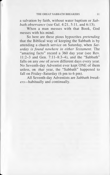a salvation by faith, without water baptism or *Sabbath observance* (see Gal. 4:21, 5:11, and 6:13).

When a man messes with that Book, God messes with his mind.

So here are these pious hypocrites *pretending* that the Biblical way of keeping the Sabbath is by attending a church service on Saturday, when *Saturday is found nowhere in either Testament.* The "amazing facts" record a 360 day year (see Rev. 11:2-3 and Gen. 7:11-8:3-4), and the "Sabbath" falls on any *one* of *seven* different days every year. No Seventh-day Adventist ever kept ONE of them unless, on *that* year, the "Sabbath" happened to fall on Friday–Saturday (6 pm to 6 pm).

All Seventh-day Adventists are *Sabbath breakers*—habitually and continually.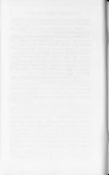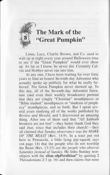<span id="page-24-0"></span>

## **The Mark of the "Great Pumpkin"**

Linus, Lucy, Charlie Brown, and Co. used to wait up at night every year around Halloween time to see if the "Great Pumpkin" would ever show up. As far as I know, he never did. Certainly Calvin and Hobbes never ran into him.

At any rate, I have been waiting for over forty years to find an honest Seventh-day Adventist who actually spoke up publicly for what he really believed. The Great Pumpkin never showed up. To this day, all of the Seventh-day Adventist literature (and even their weekly broadcasts) pretend that they are simply "Christian" mouthpieces or "Bible student" mouthpieces or "students of prophecy" mouthpieces, and so forth. But I spent several years studying all of the works published by *Review and Herald*, and I discovered an amazing thing. After one of them said that "All Sabbath breakers are not lost"— they better thank God they said *that*, since that includes their church!— they all claimed *that Sunday observance was the MARK OF THE BEAST* (Rev. 14:9). In a tract put out here in Pensacola, a little lying pip-squeak says (on page 14) that the people who do not worship the Beast (Rev. 13:15) *are the people who observe* Saturday instead of Sunday. He links Sunday worshipers with the **sSon ofpPerdition"** by quoting 2 Thessalonians 2:3 (p. 16) and then claims that none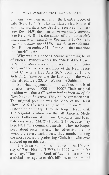of them have their names in the Lamb's Book of Life (Rev. 13:4, 8). Having stated clearly that if any man worships the Beast or receives his mark (see Rev. 14:9) the man is *permanently damned* (see Rev. 14:10-11), the author of the tractus *slyly omits fourteen words from Revelation 14:9 so you* will not connect the MARK with the man's damna*tion.* He then omits ALL of verse 11 that mentions the "mark" again.

Why was this done? Because according to all of Ellen G. White's works, the "Mark of the Beast" is *Sunday observance* of the resurrection, Pentecost, and the weekly assembly of the New Testament Christians (see Acts 20:7; John 20:1; and Acts 2:1). Pentecost was the first day of the week (the fiftieth, Lev. 23:15-16), not the Sabbath.

So what happened to this zealous bunch of fanatics between 1900 and 1990? Their original position was that *a Christian had to keep all of the Decalogue to be saved.* They no longer teach that. The original position was the Mark of the Beast (Rev. 13:16-18) *was going to church on Sunday instead of Saturday*. They no longer teach that. The original position was that all Baptists, Methodists, Lutherans, Anglicans, Catholics, and Presbyterians were *LIARS* (1 John 2:4) because they kept NOT **"his commandments."** They no longer peep about such matters. The Adventists are the world's greatest backsliders; they number among the most cowardly professing Christians who ever showed up on this earth.

The Great Pumpkin who came to the University of West Florida (UWF), in 1997, went so far as to say: "Thus, the Book of Revelations contains a global message to earth's billions at the time of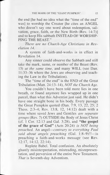the end [he had no idea what the "time of the end" was] to worship the Creator [he cites an ANGEL who doesn't say one word about redemption, salvation, grace, faith, or the New Birth (Rev. 14:7)] and to keep His sabbath INSTEAD OF WORSHIP-PING THE BEAST."

*There are no Church-Age Christians in Revelation 14.*

A system of faith-and-works is in effect in Revelation 14.

Any sinner could observe the Sabbath and still take the mark, name, or number of the Beast (Rev. 13) *at the same time,* and many WILL (see Dan. 11:33-36 where the Jews are observing and teaching the Law in the Tribulation).

The "time of the end" is the END of the Great Tribulation (Matt. 24:13-14), *NOT the Church Age.*

You couldn't have been told more lies in one breath, or found anymore lies wrapped up in one parcel, than what this Adventist just said. He didn't have one straight bone in his body. Every passage the Great Pumpkin quoted (Dan. 7:9, 13, 22, 25; 2 Thess. 2:3-4; Rev. 13:8, 12, 14:12) dealt with a time where saved Jews and Gentiles *are separate groups* (Rev. 7) OUTSIDE the Body of Jesus Christ (cf. 1 Cor. 12:13 and Gal. 3:28), and **"the gospel of the grace of God"** (Acts 20:24) *is NOT being preached.* An angel—*contrary to everything Paul* said about angels preaching (Gal. 1:8-9)!!—is preaching a faith-and-works message (see Rev. 12:17, 14:12, 22:14).

Replete Babel. Total confusion. An absolutely ghastly misinterpretation, misreading, misrepresentation, and perversion of the entire New Testament. *That* is Seventh-day Adventism.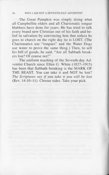The Great Pumpkin was simply doing what all Campbellite elders and all Charismatic tongue blabbers have done for years. He has tried to talk every brand new Christian out of his faith and belief in salvation by convincing him that unless he goes to church on the right day he is LOST. (The Charismatics use "tongues" and the Water Dogs use water to prove the same thing.) Then, to sell his bill of goods, he said, "Are all Sabbath breakers lost? Of course not!"

The uniform teaching of the Seventh-day Adventist Church since Ellen G. White (1827-1915) has been that Sabbath breaking is the MARK OF THE BEAST. You can take it and NOT be lost? *The Scriptures say if you take it you will be lost* (Rev. 14:10-11). Choose sides. Take your pick.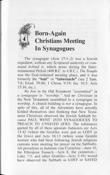

The synagogue (Acts 17:1-2) was a Jewish expedient, *without any Scriptural authority or command behind it,* which arose during the Intertestamental Period (400 B.C. to 4 B.C.). *The Temple* was the God-ordained meeting place, and it was formerly the **"tent"** or **"tabernacle"** (see 2 Sam. 7:6; Exod. 39:40; 1 Chron. 9:19; Isa. 16:5; Acts 15:16, etc.).

*No Jew in the Old Testament "assembled" in a synagogue to "worship. "* And no *Christian* in the New Testament assembled in a synagogue to worship. A church building is *not* a synagogue. In spite of this, all of the Adventists have actually kidded themselves into thinking that New Testament Christians observed the Jewish Sabbath because PAUL WENT *INTO* SYNAGOGUES TO PREACH TO *UNSAVED JEWS.* The references quoted by all of these apostate Judaizers are Acts 13:42 (where the Gentiles were just as LOST as the Jews) and Acts 16:13 (where some Gentile women who had been following Jewish religious customs were meeting for prayer on the Sabbath). All proselytes to Judaism (see Cornelius— Acts 10, the Ethiopian Eunuch— Acts 8, the centurion— Luke 7:5, and other Gentiles—Acts 2:10) would have observed the Sabbath as LOST or SAVED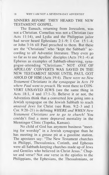SINNERS *BEFORE* THEY HEARD THE NEW TESTAMENT GOSPEL.

The Eunuch, returning from Jerusalem, was not a Christian. Cornelius was not a Christian (see Acts 11:14), and Lydia and the Philippian jailor had never heard Ephesians 2:1-9; 1 Cor. 15:1-4; or John 3:16 till Paul preached to them. But these are the "Christians" who "kept the Sabbath" according to all Adventist literature. They even go so far as to use Apollos' disciples (Acts 19:1-4) at Ephesus as examples of Sabbath-observing, synagogue-attending "C hristians." NOT *ONE* OF APOLLOS' CONVERTS WAS SAVED IN THE NEW TESTAMENT SENSE UNTIL PAUL GOT AHOLD OF HIM (Acts 19:4). *There were no New Testament Christians in the synagogue in Acts 19 where Paul went to preach.* He went there to CON-VERT UNSAVED JEWS (see the same thing in Acts 18:1, 4 and 17:1-3). Believe it or not, the Adventists think that a converted Jew going into a Jewish synagogue on the Jewish Sabbath to reach *unsaved Jews* for Christ (see Rom. 9:2-3 and 1 Cor. 9:20-21) is defining *WHERE and WHEN New Testament Christians are to go to church!* You couldn't find a more depraved mentality in the Menninger Clinic (Topeka, Kansas).

No child of God has anymore business "meeting for worship" in a Jewish synagogue than he has meeting in a grease pit at a gasoline station. The apostates say: "The New Testament churches in Philippi, Thessalonica, Corinth, and Ephesus were all Sabbath-keeping churches made up of Jews and Gentiles who believed in Christ Jesus." Chapter and verse? Not *one* verse in the epistles to the Philippians, the Ephesians, the Thessalonians, or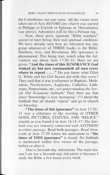the Corinthians: not *one* verse. All the verses were taken out of Acts *BEFORE any church was started* at Philippi or Corinth or Ephesus or Thessalonica (see above). Adventists will lie like a Persian rug.

Now, these poor, ignorant "Bible teachers" sooner or later betray their real spiritual condition. We have already seen how no Adventist has any grasp whatsoever of THREE books in the Bible: Matthew, Acts, and Revelation. His ignorance is phenomenal. This being true, watch what the Adventists say about Acts 17:30-31. Here we are given: **"And the times of this IGNORANCE God winked at; but now commandeth all men every** where to repent . . . . " Do you know what Ellen G. White and her Girl Scouts did with *that verse?* They said that it was a reference to Baptists, Methodists, Presbyterians, Anglicans, Catholics, Lutherans, Pentecostals, etc., *not understanding the Jewish Old Testament Sabbath!* They then say that since "knowledge is now increasing" (!!) about the Sabbath that all should "repent" and go to church on Saturday.

**"The times of this ignorance"** in Acts 17:30— 31 was a reference to the worship of OTHER GODS, PICTURES, STATUES, AND "RELICS," exactly as you found it in Acts 14:15-17. *The Sabbath was not remotely connected with ANYTHING in either passage.* Read both passages. *Read them.* Look at Acts 17:29 where the antecedent to **"the times of THIS ignorance"** is found. No Sabbath is mentioned within five verses of the passage, before or after it.

*That* is Seventh-day Adventism. The main reason I am not a Seventh-day Adventist is because I study the Bible a few hours every week.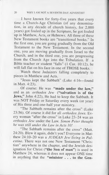I have known for forty-five years that every time a Church-Age Christian (of any denomination, in any decade of church history, for 2,000 years) got fouled up in the Scripture, he got fouled up in Matthew, Acts, or Hebrews. All three of these New Testament books are "transitional books." In the first one, you are going gradually from the Old Testament to the New Testament. In the second one, you are moving gradually from Israel to the Church, and in the third one, you are progressing from the Church Age into the Tribulation. If a Bible teacher or student "falls" (1 Cor. 10:12), he will fall flat on his face in one of THOSE books.

Watch these Judaizers falling completely to pieces in Matthew and Acts.

"Jesus kept the Sabbath" (Luke 4:16— found in Matt. 4:23).

Of course: He was **"made under the law,"** and as an *orthodox Jew* **("salvation is of the Jews,"** John 4:22), He had to keep the Sabbath. It was NOT Friday or Saturday every week (or year) of His three and one-half year ministry.

"The Sabbath remains after the cross" (Luke 23:56). Of course it did for all *orthodox Jews.* Every woman "after the cross" in Luke 23-24 was an *orthodox Jew* under the Law. *Simon Peter thought he was still under the Law in Acts 10!*

"The Sabbath remains after the cross" (Matt. 24:20). Blew it again, didn't you? Everyone in Matthew 24:10-20 was a *JUDEAN Jew living in Palestine.* There was not one New Testament "Christian" anywhere in the chapter, and the Jewish designation for Christ **("the Son of man")** is used in Matthew 24, whereas it does not appear ONE time in anything that the **"minister . . . to the Gen**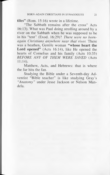**tiles"** (Rom. 15:16) wrote in a lifetime.

"The Sabbath remains after the cross" Acts 16:13). What was Paul doing strolling around by a river on the Sabbath when he was supposed to be in his "tent" (Exod. 16:29)? *There were no bornagain Christians anywhere near that river.* There was a heathen, Gentile woman **"whose heart the** Lord opened" (Acts 16:14), like He opened the hearts of Cornelius and his family (Acts 10:35) *BEFORE ANY OF THEM WERE SAVED* (Acts 11:14).

Matthew, Acts, and Hebrews: that is where the fur hits the fan.

Studying the Bible under a Seventh-day Adventist "Bible teacher" is like studying Gray's "Anatomy" under Jesse Jackson or Nelson Mandela.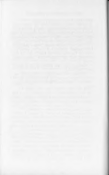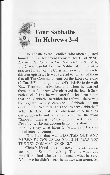<span id="page-34-0"></span>

The apostle to the Gentiles, who often adjusted himself to Old Testament Judaism (see 1 Cor. 9:20- 21) *in order to reach lost Jews* (see Acts 13:14, 14:1), was careful to *omit* Sabbath-keeping as a practise for any of the Christians to whom he wrote thirteen epistles. He was careful to tell all of them that all Ten Commandments on the tables of stone (2 Cor. 3:7) no longer had ANYTHING to do with New Testament salvation, and when he warned them about Judaizers who observed the Jewish Sabbath (Col. 2:16), he was careful to let them know that the "Sabbath" to which he referred there was the regular, weekly, ceremonial Sabbath and not (as Ellen G. White taught) the "yearly Sabbaths." When the Adventist hits Colossians 2:16, he flips out completely and is forced to say that the word "Sabbath" there is *not* the one referred to in *the Decalogue.* Having accomplished this abortion, he now must say what Ellen G. White said back in the nineteenth century:

"The Law that was BLOTTED OUT AND *NAILED TO THE CROSS* (Col. 2:14) WAS *NOT* THE TEN COMMANDMENTS."

Christ's blood does not cover murder, lying, stealing, or Sabbath-breaking. That is what you *read* if the fool who wrote it meant what he said. Of course he didn't mean it; *he just lied again.* So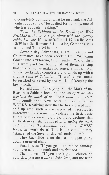to completely contradict what he just said, the Adventist adds (p. 3): "Jesus died for our sins, one of which is Sabbath-breaking."

Then the Sabbath of the Decalogue WAS *NAILED to the cross right along with the "yearly sabbaths, " etc.* If it wasn't, John 1:17 is a lie, Acts 13:39 is a lie, Romans 6:14 is a lie, Galatians 3:13 is a lie, and Titus 3:5 is a lie.

Seventh-day Adventists, as Campbellites and Charismatics, have been knocked from "Amazing Grace" into a "Floating Opportunity." *Part* of their sins were paid for, but not all of them. Sensing that this nonsense makes no sense, a modern Adventist backslides completely and winds up with a *Baptist Plan of Salvation:* "Therefore we cannot be justified or saved by our works of keeping the law" (ibid).

He said *that* after saying that the Mark of the Beast was Sabbath-breaking, and *all of those who* received the Mark of the Beast wind up in Hell. This conditioned New Testament salvation on WORKS. Realizing now that he has screwed himself up into such a corkscrew of inscrutable, unscrewable nonsense, he violates the first, basic tenant of his own religious faith and declares that a Christian can still be saved *after taking the mark and violating the Sabbath;* but "if he LOVES" Jesus, he won't do it! This is the contemporary "stance" of the Seventh-day Adventist church.

They backslide faster than a toboggan going down a greased chute.

First it was: "If you go to church on Sunday, you have taken the mark and are *damned. "*

Then it was: "If you don't go to church on Saturday, you are a *liar* (1 John 2:4), and the truth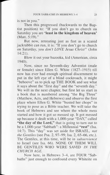is not in you."

Then this progressed (backwards to the Baptist position) to: "If you don't go to church on Saturday you are **'least in the kingdom of heaven'** (Matt. 5:19)."

But now, retreating just as fast as a scared jackrabbit can run, it is: "If you don't go to church on Saturday, *you don't LOVE Jesus Christ"* (John 14:21).

Blow it out your bazooka, kid (American, circa 1940).

Now, since no Seventh-day Adventist (male or female) since Ellen G. White (1827-1915) till now has ever had enough spiritual discernment to put in the left eye of a blind cockroach, it might "behoove" us to pick up THE BOOK and see what it says about the "first day" and the "seventh day." We will in the next chapter, but first let us start in a book that is numbered among "the Big Three" (Matthew, Acts, and Hebrews) and observe the first place where Ellen G. White "busted her chops" in trying to pose as a Bible teacher. We will take the book of Hebrews and see where the whole mess started and how it got so messed up. It got messed up because it dealt with a 1,000-year "DAY," called "the day of the Lord," that is going to turn out to be a 1,000-year "Sabbath": a Millennial **"rest"** (Isa. 14:7). This "day" was set aside for ISRAEL, *not the Gentiles* (see Psa. 2, 97-99; Isa. 2, 65-66, etc.). The Gentiles, at this time, will be in *subservience* to Israel (see Isa. 66). NONE OF THEM WILL BE GENTILES WHO WERE SAVED *IN THE CHURCH AGE.*

Now here, in Hebrews 3-4, are FOUR "Sabbaths" just enough to confound every Whiteite on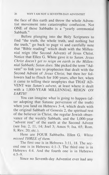the face of this earth and throw the whole Adventist movement into catastrophic confusion. Not ONE of these Sabbaths is a "yearly ceremonial Sabbath<sup>"</sup>

Before plunging into the Holy Scriptures to find "the truth, the whole truth, and nothing but the truth," go back to page vi and carefully note that "Bible reading" which dealt with the Millennial reign (the Second Advent) of Jesus Christ. Notice that Ellen G. White gave it to *Satan. Jesus* Christ doesn't get to reign on earth in the Millen*nial Sabbath; Satan does.* She picked the term "Advent" to link you to prophecies that dealt with the Second Advent of *Jesus Christ,* but then her followers had to flinch for 100 years, after her, when it came to telling their neophytes that THAT AD-VENT was *Satan's advent,* at least where it dealt with a 1,000-YEAR MILLENNIAL REIGN *ON EARTH!*

You can imagine what is going to happen (after adopting that Satanic perversion of the truth) when you land on Hebrews 3-4, which deals with the original Sabbath of Genesis 2, the spiritual rest of the believer in Christ, the regular Jewish observance of the weekly Sabbath, and the 1,000-year "advent rest" of the earth at the Second Advent (see Isa. 2, 11, 14; Joel 3; Amos 9; Isa. 65; Rom. 8; Rev. 20; etc.).

Here are FOUR Sabbaths. Ellen G. *White missed THREE of them.* 

The first one is in Hebrews 3:11, 18. The second one is in Hebrews 4:1-3. The third one is in Hebrews 4:4. And the fourth one is in Hebrews  $4:5-9.$ 

Since no Seventh-day Adventist ever had any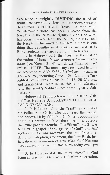experience in **"rightly DIVIDING the word of truth,"** he saw no divisions or distinctions between these four DIFFERENT "rests." A man must "study"—the word has been removed from the NASV and the NIV—to rightly divide (the word has been removed from the NKJV, the NIV, and the NASV) **"the word of truth."** If there is one thing that Seventh-day Adventists are *not,* it is Bible students: they are ceremonial Judaizers.

1. In Hebrews 3:11, the **"rest"** is the rest of the nation of Israel *in the conquered land of Canaan* (see Num. 13-14), which the "men of war" refused. NOTE! The term **"my rest"** used here *is no reference to ANY Sabbath God ever instituted ANYWHERE,* including Genesis 2:1-2 and the **"my sabbaths"** of Ezekiel 20:12-13, 16, 20-21, etc.; and Isaiah 56:4. (Note in Isa. 58:13 the reference is to the *weekly* Sabbath, not some "yearly Sabbaths.")

Hebrews 3:18 is a reference to the same "Sabbath" as Hebrews 3:11: REST IN THE LITERAL LAND OF CANAAN.

2. In Hebrews 4:1-3, the **"rest"** is the rest of the believer in Christ who has heard the Gospel and believed it by faith (vs. 2). Note it popping up again in Hebrews 4:10. At the same time, observe that **"the gospel preached"** to **"them"** (vs. 2) was NOT **"the gospel of the grace of God"** *and had nothing to do with salvation,* the crucifixion, redemption, adoption, atonement, the New Birth, justification, or remission of sins. (Get *that!* Not one "recognized scholar" on this earth today ever *got it).*

3. In Hebrews 4:4, the third **"rest"** is God Himself resting in Genesis 2:1-2 after the creation.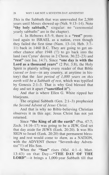*This* is the Sabbath that was unrevealed for 2,500 years until Moses showed up (Neh. 9:13-14). Note **"thy holy sabbath,"** singular: no "ceremonial yearly sabbaths" are in the chapter).

4. In Hebrews 4:5-9, there is a **"rest"** promised again to ISRAEL as a nation, even though they failed the first time (Num. 13-14; Heb. 3:7- 11) back in 1460 B.C. They are going to get another chance after 1948 (!!) to go back into the land (see Cyrus' decree in 2 Chron. 36:22-23) and **"rest"** (see Isa. 14:7). Since **"one day is with the** Lord as a thousand years" (2 Pet. 3:8), the Holy Spirit is plainly telling every reader of that Bible *(saved or lost*—in any country, at anytime in history) that the *last period of 1,000 years on this earth will be a Sabbath of rest, which was typified* by Genesis 2:1-3. That is why God blessed that day and set it apart **("sanctified it").**

And *that* is where Ellen G. White ripped her bluejeans.

The original Sabbath (Gen. 2:1-3) prophesied *the Second Advent of Jesus Christ.* 

And that is why no Bible-believing Christian observes it in this age; Jesus Christ has not yet returned.

Since **"the King of all the earth"** (Psa. **47:7;** Zech. **14:16-17)** was going to be a JEW, God set that day aside for JEWS (Ezek. 20:20). It was His SIGN to Israel (Ezek. 20:20) that permanent blessing and rest would come to *them,* as a NATION, with the ADVENT (hence "Seventh-day Adventist" !!) of His Son.

When the "Sun" rises (Mal. 4:1-4; Matt. 13:43) on that Day-"THE DAY OF THE **LORD"**—it brings a 1,000-year Sabbath till that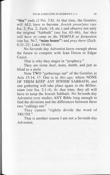**"day"** ends (2 Pet. 3:8). At that time, the Gentiles will ALL have to become *Jewish proselytes* (see Isa. 2; Psa. 2; Zech. 14; etc.) and observe not only the original "Sabbath" (see Isa. 65-66), *but they will have to come to the TEMPLE at Jerusalem* (see Isa. 56:7, **"mine house")** and *pray there* (Zech. 8:21-22; Luke 19:46).

No Seventh-day Adventist knew enough about the future to compete with Jean Dixon or Edgar Cayce.

That is why they major in "prophecy."

They are stone deaf, mute, dumb, and just as blind as a mole.

Note TWO "gatherings out" of the Gentiles in Acts 15:14, 17. One is in *this age,* where NONE OF THEM KEEP *ANY* JEWISH SABBATH, and one gathering will take place again *in the Millennium* (see Isa. 2:1—4). At *that* time, they all will have to keep the Jewish Sabbath. No Seventh-day Adventist ever studies ANY Bible long enough to find the divisions and the differences between these two "callings out."

They cannot "rightly divide the word of TRUTH."

That is another reason I am not a Seventh-day Adventist.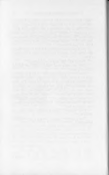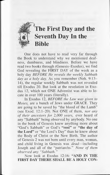

One does not have to read very far through the Book to understand why we mentioned deafness, dumbness, and blindness. Before we have read two books through (Genesis-Exodus), we find God revealing the FIRST DAY of the week as a holy day *BEFORE He reveals the weekly Sabbath day as a holy day.* As you remember (Neh. 9:13- 14), the regular weekly Sabbath was not revealed till Exodus 20. But look at the revelation in Exodus 12, which not ONE Adventist was able to locate in over 100 years (literally).

In Exodus 12, *BEFORE the Law was given to Moses,* are a bunch of Jews under GRACE. They are going to be saved by "the blood of the Lamb" (see Exod. 12:1-20). Not ONE of them, *nor any of their ancestors for 2,000 years, ever heard of* any "Sabbath" being observed by anybody. No one in the book of Genesis knew anything more about "God's Sabbath" or God's **"rest"** or **"the day of the Lord"** or "the Lord's Day" than he knew about the Body of Christ or the New Birth. The author of Genesis 2 was not born until every man, woman, and child living in Genesis was *dead*— including Joseph and all of the "patriarchs." *None of them observed any "Sabbath. "*

Now look at Exodus 12:16: **"AND IN THE FIRST DAY THERE SHALL BE A HOLY CON-**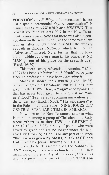**VOCATION** . . . ." Why, a "convocation" is not just a special ceremonial *day.* A "convocation" *is a summons to an ASSEMBLY or a MEETING.* That is what you find in Acts 20:7 in the New Testament, *under grace.* Note that there was also a convocation on the seventh day, in the same verse, but it is an "afterthought," and it is NOT the weekly Sabbath in Exodus 16:25-30, which ALL of the "Adventists" missed. Note, further, that the Jews are to **"abide . . . every man in his place, let NO MAN go out of his place on the seventh day"** (Exod. 16:29).

This means every Adventist in America (1850— 1997) has been *violating* "the Sabbath" *every year* since he professed to have been *observing it.*

Moses is shown the Sabbath (Exod. 16:25) before he gets the Decalogue, but still it is later given to the JEWS. Here, a **"sign"** accompanies it that has never been given to any Christian: **"angels' food"** (Psa. 78:25) appearing miraculously in the wilderness (Exod. 16:32). **"The wilderness"** is in the Palestinian time zone—NINE HOURS OFF CENTRAL STANDARD TIME IN AMERICA.

Now turn to the New Testament and see what is going on among a group of Christians in a Body where **"there is neither JEW nor GREEK"** (1 Cor. 12:13; Gal. 3:28): a body of people who were saved by grace and are no longer under the Mosaic Law (Rom. 6; 2 Cor. 3) or any part of it, since **"the law was given by Moses, but GRACE and truth came by Jesus Christ"** (John 1:17).

They do NOT assemble on the Sabbath in ANY synagogue or even a church building. They assemble on the *first day of the week* (Acts 20:7) and have preaching services (nighttime at that!) on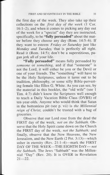the first day of the week. They also take up their collections on the *first day of the week* (1 Cor. 16:1-2), and when it comes to picking any day out of the week for a "special" day they are instructed, specifically, to be **"fully persuaded"** about the matter before they choose any day (Rom. 14:5-6). If they want to esteem *Friday or Saturday* just like *Monday and Tuesday,* that is perfectly all right. Read it (Rom. 14:5); don't be a superstitious, pagan jerk all of your life.

**"Fully persuaded"** means fully persuaded by *someone* or *something,* and if that "someone" is not the Lord, it will either be you or the Devil or one of your friends. The "something" will have to be the Holy Scriptures, unless it turns out to be tradition, philosophy, or some silly Bible-perverting female like Ellen G. White. As you can see, by the material in this booklet, the "old wife" (see 1 Tim. 4:7) didn't know the Scriptures well enough to teach a Daily Vacation Bible Class (DVBS) of ten-year-olds. Anyone who would think that Satan in the bottomless pit (see p. vii) is *the Millennial* reign of Christ, couldn't be trusted with a bag of groceries.

Observe that our Lord rose from the dead the FIRST day of the week, *not on the Sabbath.* Observe that the Holy Spirit came down on the Church the FIRST day of the week, *not the Sabbath;* and finally, observe that the New Heavens, the New Jerusalem, and the New Earth (2 Pet. 3:13)— which usher in eternity (Rev. 21:1-4)— mark the FIRST DAY OF THE WEEK—THE EIGHTH DAY— *not the Sabbath.* The Jews "Sabbath" was the Millennial "Day" (Rev. 20). It is OVER in Revelation  $21 - 22$ .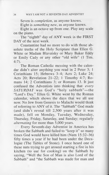$34$ 

Seven is *completion*, as anyone knows.

Eight is *something new,* as anyone knows.

Eight is an octave up from one. Play any scale on the piano.

The "eighth" day of ANY week is the FIRST DAY of the next week.

Constantine had no more to do with those absolute truths of the Holy Scripture than Ellen G. White or Madam Blavatsky or Mary Baker Eddy or Emily Cady or any other "old wife" (1 Tim. 4:7).

The Roman Catholic messing with the calendar didn't alter anything you read in 2 Peter 3; 1 Corinthians 15; Hebrews 3-4; Acts 2; Luke 24; Acts 20; Revelation 21-22; 1 Timothy 4:7; Romans 14; 2 Corinthians 3; or Romans 13. It just confused the Adventists into thinking that *every SATURDAY* was God's "holy sabbath"—the "Lord's Day." Ellen G. White went by the Roman calendar, which shows the days that we all use now. No Jew from Genesis to Malachi would think of referring to ANY of it. The "Sabbath" God made (and didn't reveal till 2,500 years after it was made), fell on Monday, Tuesday, Wednesday, Thursday, Friday, Saturday, and Sunday; regularly *alternating* for more than 5,000 years.

Every Seventh-day Adventist in America has broken the Sabbath and failed to "keep it" so many times God would have killed him (Num 15:32-36) fifty times a year if he had been under the Decalogue (The Tables of Stone). I once heard one of these nuts trying to get around starting a fire in his kitchen (to use for cooking) on the Sabbath by saying, "Well the Son of Man is also Lord of the Sabbath" and "the Sabbath was made for man and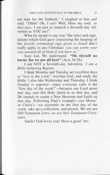not man for the Sabbath." I laughed at him and said, "Ohhh! Oh, I see! Well, bless my soul, *in that case,* **I** am just as staunch a Seventh-day Adventist as YOU are!"

What he meant to say was "the rules and regulations which God gave concerning the keeping of the *Jewish ceremonial sign given to Israel* don't really apply to any Christian: *you can worm your way around all of them if you have to.*"

Sure kid. We understand. **"Do thyself no harm: for we are all here"** (Acts 16:28).

I am NOT a Seventh-day Adventist. *I am a Bible-believing Baptist.*

I think Monday and Tuesday are excellent days to "rest in the Lord," worship God, and study the Bible. I also like Wednesday and Thursday. I think Sunday is superior— since everyone calls it the "first day of the week!"—because our Lord arose that day, sent His Holy Spirit to us that day, and He intends to create a New Heavens and Earth on that day. Following Paul's example—*not* Moses' or Christ's— we assemble on the first day of the week, take up a collection, and preach. We are not Old Testament Jews; *we are New Testament Christians.*

Smile! God loves you! Have a good 'un!